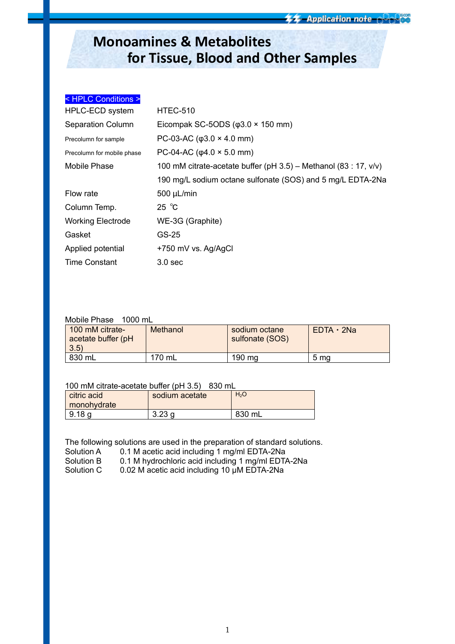## **Monoamines & Metabolites for Tissue, Blood and Other Samples**

| <hplc conditions=""></hplc> |                                                                     |
|-----------------------------|---------------------------------------------------------------------|
| HPLC-ECD system             | <b>HTEC-510</b>                                                     |
| <b>Separation Column</b>    | Eicompak SC-5ODS ( $\varphi$ 3.0 × 150 mm)                          |
| Precolumn for sample        | PC-03-AC ( $\varphi$ 3.0 × 4.0 mm)                                  |
| Precolumn for mobile phase  | PC-04-AC ( $\varphi$ 4.0 × 5.0 mm)                                  |
| Mobile Phase                | 100 mM citrate-acetate buffer (pH $3.5$ ) – Methanol (83 : 17, v/v) |
|                             | 190 mg/L sodium octane sulfonate (SOS) and 5 mg/L EDTA-2Na          |
| Flow rate                   | $500 \mu L/min$                                                     |
| Column Temp.                | $25^{\circ}$ C                                                      |
| <b>Working Electrode</b>    | WE-3G (Graphite)                                                    |
| Gasket                      | GS-25                                                               |
| Applied potential           | +750 mV vs. Ag/AgCl                                                 |
| <b>Time Constant</b>        | 3.0 <sub>sec</sub>                                                  |

## Mobile Phase 1000 mL

| 100 mM citrate-<br>acetate buffer (pH<br>$ 3.5\rangle$ | Methanol | sodium octane<br>sulfonate (SOS) | $EDTA \cdot 2Na$ |
|--------------------------------------------------------|----------|----------------------------------|------------------|
| 830 mL                                                 | 170 mL   | 190 mg                           | 5 ma             |

## 100 mM citrate-acetate buffer (pH 3.5) 830 mL

| citric acid<br>monohydrate | sodium acetate | H <sub>2</sub> O |
|----------------------------|----------------|------------------|
| 9.18 <sub>g</sub>          | ാറാ പ<br>د∠.د  | 830 mL           |

The following solutions are used in the preparation of standard solutions.

Solution A 0.1 M acetic acid including 1 mg/ml EDTA-2Na<br>Solution B 0.1 M hydrochloric acid including 1 mg/ml EDT/ 0.1 M hydrochloric acid including 1 mg/ml EDTA-2Na Solution C 0.02 M acetic acid including 10 μM EDTA-2Na